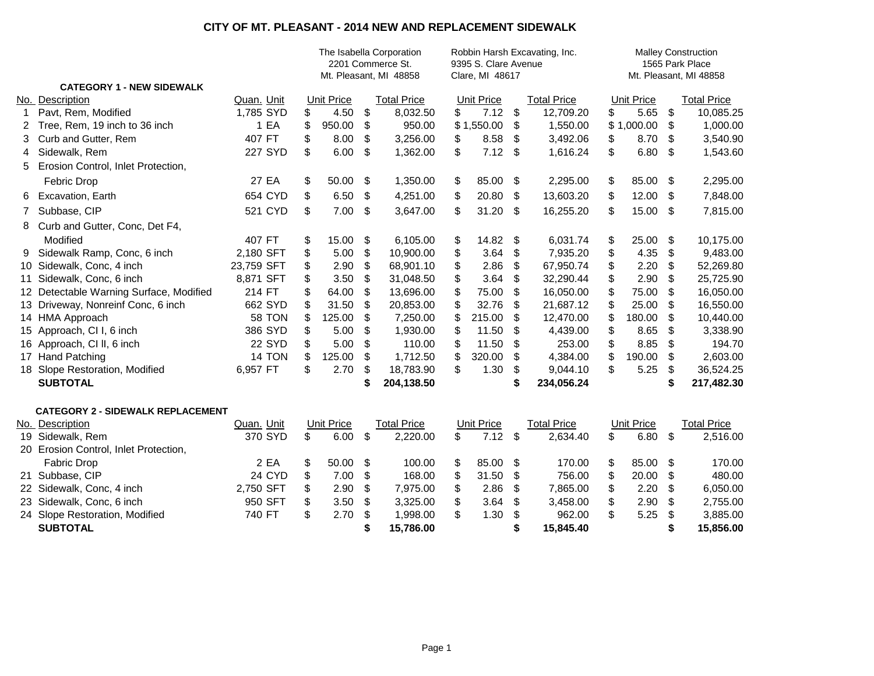## **CITY OF MT. PLEASANT - 2014 NEW AND REPLACEMENT SIDEWALK**

|              |                                          |               |    | The Isabella Corporation<br>Robbin Harsh Excavating, Inc.<br>9395 S. Clare Avenue<br>2201 Commerce St.<br>Clare, MI 48617<br>Mt. Pleasant, MI 48858 |               |                    |    |                   |                         | <b>Malley Construction</b><br>1565 Park Place<br>Mt. Pleasant, MI 48858 |    |                   |     |                    |  |  |
|--------------|------------------------------------------|---------------|----|-----------------------------------------------------------------------------------------------------------------------------------------------------|---------------|--------------------|----|-------------------|-------------------------|-------------------------------------------------------------------------|----|-------------------|-----|--------------------|--|--|
|              | <b>CATEGORY 1 - NEW SIDEWALK</b>         |               |    |                                                                                                                                                     |               |                    |    |                   |                         |                                                                         |    |                   |     |                    |  |  |
|              | No. Description                          | Quan. Unit    |    | <b>Unit Price</b>                                                                                                                                   |               | <b>Total Price</b> |    | <b>Unit Price</b> |                         | <b>Total Price</b>                                                      |    | <b>Unit Price</b> |     | <b>Total Price</b> |  |  |
| $\mathbf{1}$ | Pavt, Rem, Modified                      | 1,785 SYD     | \$ | 4.50                                                                                                                                                | \$            | 8,032.50           | \$ | 7.12              | \$                      | 12,709.20                                                               | \$ | 5.65              | \$  | 10,085.25          |  |  |
| 2            | Tree, Rem, 19 inch to 36 inch            | 1 EA          | \$ | 950.00                                                                                                                                              | \$            | 950.00             |    | \$1,550.00        | \$                      | 1,550.00                                                                |    | \$1,000.00        | \$  | 1,000.00           |  |  |
| 3            | Curb and Gutter, Rem                     | 407 FT        | \$ | 8.00                                                                                                                                                | \$            | 3,256.00           | \$ | 8.58              | \$                      | 3,492.06                                                                | \$ | 8.70              | \$  | 3,540.90           |  |  |
| 4            | Sidewalk, Rem                            | 227 SYD       | \$ | 6.00                                                                                                                                                | \$            | 1,362.00           | \$ | 7.12              | \$                      | 1,616.24                                                                | \$ | 6.80              | \$  | 1,543.60           |  |  |
| 5            | Erosion Control, Inlet Protection,       |               |    |                                                                                                                                                     |               |                    |    |                   |                         |                                                                         |    |                   |     |                    |  |  |
|              | Febric Drop                              | 27 EA         | \$ | 50.00                                                                                                                                               | \$            | 1,350.00           | \$ | 85.00             | \$                      | 2,295.00                                                                | \$ | 85.00             | -\$ | 2,295.00           |  |  |
| 6            | Excavation, Earth                        | 654 CYD       | \$ | 6.50                                                                                                                                                | \$            | 4,251.00           | \$ | 20.80             | \$                      | 13,603.20                                                               | \$ | 12.00             | \$  | 7,848.00           |  |  |
| 7            | Subbase, CIP                             | 521 CYD       | \$ | 7.00                                                                                                                                                | -\$           | 3,647.00           | \$ | 31.20             | \$                      | 16,255.20                                                               | \$ | 15.00             | -\$ | 7,815.00           |  |  |
| 8            | Curb and Gutter, Conc, Det F4,           |               |    |                                                                                                                                                     |               |                    |    |                   |                         |                                                                         |    |                   |     |                    |  |  |
|              | Modified                                 | 407 FT        | \$ | 15.00                                                                                                                                               | \$            | 6,105.00           | \$ | 14.82             | \$                      | 6,031.74                                                                | \$ | 25.00             | \$  | 10,175.00          |  |  |
| 9            | Sidewalk Ramp, Conc, 6 inch              | 2,180 SFT     | \$ | 5.00                                                                                                                                                | \$            | 10,900.00          | \$ | 3.64              | \$                      | 7,935.20                                                                | \$ | 4.35              | \$  | 9,483.00           |  |  |
|              | 10 Sidewalk, Conc, 4 inch                | 23,759 SFT    | \$ | 2.90                                                                                                                                                | \$            | 68,901.10          | \$ | 2.86              | \$                      | 67,950.74                                                               | \$ | 2.20              | \$  | 52,269.80          |  |  |
|              | 11 Sidewalk, Conc, 6 inch                | 8,871 SFT     | \$ | 3.50                                                                                                                                                | \$            | 31,048.50          | \$ | 3.64              | \$                      | 32,290.44                                                               | \$ | 2.90              | \$  | 25,725.90          |  |  |
|              | 12 Detectable Warning Surface, Modified  | 214 FT        |    | 64.00                                                                                                                                               | \$            | 13,696.00          | \$ | 75.00             | \$                      | 16,050.00                                                               | \$ | 75.00             | \$  | 16,050.00          |  |  |
|              | 13 Driveway, Nonreinf Conc, 6 inch       | 662 SYD       |    | 31.50                                                                                                                                               | \$            | 20,853.00          | \$ | 32.76             | \$                      | 21,687.12                                                               | \$ | 25.00             | \$  | 16,550.00          |  |  |
|              | 14 HMA Approach                          | <b>58 TON</b> |    | 125.00                                                                                                                                              | \$            | 7,250.00           | \$ | 215.00            | \$                      | 12,470.00                                                               | \$ | 180.00            | \$  | 10,440.00          |  |  |
|              | 15 Approach, CI I, 6 inch                | 386 SYD       |    | 5.00                                                                                                                                                | \$            | 1,930.00           | \$ | 11.50             | \$                      | 4,439.00                                                                | \$ | 8.65              | \$  | 3,338.90           |  |  |
|              | 16 Approach, CI II, 6 inch               | <b>22 SYD</b> |    | 5.00                                                                                                                                                | \$            | 110.00             | \$ | 11.50             | \$                      | 253.00                                                                  | \$ | 8.85              | \$  | 194.70             |  |  |
|              | 17 Hand Patching                         | 14 TON        |    | 125.00                                                                                                                                              | \$            | 1,712.50           | \$ | 320.00            | \$                      | 4,384.00                                                                | \$ | 190.00            | \$  | 2,603.00           |  |  |
|              | 18 Slope Restoration, Modified           | 6,957 FT      | \$ | 2.70                                                                                                                                                | \$            | 18,783.90          | \$ | 1.30              | \$                      | 9,044.10                                                                | \$ | 5.25              | \$  | 36,524.25          |  |  |
|              | <b>SUBTOTAL</b>                          |               |    |                                                                                                                                                     |               | 204,138.50         |    |                   | \$                      | 234,056.24                                                              |    |                   | \$  | 217,482.30         |  |  |
|              | <b>CATEGORY 2 - SIDEWALK REPLACEMENT</b> |               |    |                                                                                                                                                     |               |                    |    |                   |                         |                                                                         |    |                   |     |                    |  |  |
|              | No. Description                          | Quan. Unit    |    | Unit Price                                                                                                                                          |               | <b>Total Price</b> |    | <b>Unit Price</b> |                         | <b>Total Price</b>                                                      |    | <b>Unit Price</b> |     | <b>Total Price</b> |  |  |
|              | 19 Sidewalk, Rem                         | 370 SYD       | \$ | 6.00                                                                                                                                                | $\sqrt[6]{3}$ | 2,220.00           | \$ | 7.12              | $\sqrt[6]{\frac{1}{2}}$ | 2,634.40                                                                | \$ | 6.80              | \$  | 2,516.00           |  |  |
|              | 20 Erosion Control, Inlet Protection,    |               |    |                                                                                                                                                     |               |                    |    |                   |                         |                                                                         |    |                   |     |                    |  |  |
|              | Fabric Drop                              | 2 EA          | \$ | 50.00                                                                                                                                               | \$            | 100.00             | \$ | 85.00             | \$                      | 170.00                                                                  | \$ | 85.00             | \$  | 170.00             |  |  |
|              | 21 Subbase, CIP                          | 24 CYD        | \$ | 7.00                                                                                                                                                | \$            | 168.00             | \$ | 31.50             | \$                      | 756.00                                                                  | \$ | 20.00             | \$  | 480.00             |  |  |
|              | 22 Sidewalk, Conc, 4 inch                | 2,750 SFT     | \$ | 2.90                                                                                                                                                | \$            | 7,975.00           | \$ | 2.86              | \$                      | 7,865.00                                                                | \$ | 2.20              | \$  | 6,050.00           |  |  |
|              | 23 Sidewalk, Conc, 6 inch                | 950 SFT       | \$ | 3.50                                                                                                                                                | \$            | 3,325.00           | \$ | 3.64              | \$                      | 3,458.00                                                                | \$ | 2.90              | \$  | 2,755.00           |  |  |
|              | 24 Slope Restoration, Modified           | 740 FT        | \$ | 2.70                                                                                                                                                | \$            | 1,998.00           | \$ | 1.30              | \$                      | 962.00                                                                  | \$ | 5.25              | \$  | 3,885.00           |  |  |
|              | <b>SUBTOTAL</b>                          |               |    |                                                                                                                                                     |               | 15,786.00          |    |                   | \$                      | 15,845.40                                                               |    |                   | \$  | 15,856.00          |  |  |
|              |                                          |               |    |                                                                                                                                                     |               |                    |    |                   |                         |                                                                         |    |                   |     |                    |  |  |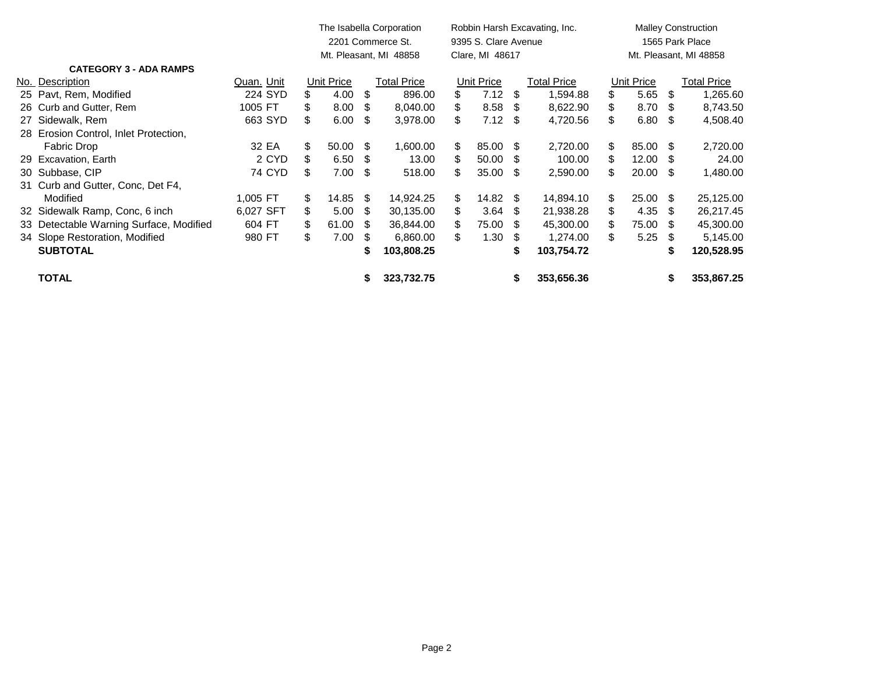|                                         |            |                        | The Isabella Corporation<br>2201 Commerce St. |      |                    |    | 9395 S. Clare Avenue | Robbin Harsh Excavating, Inc. | <b>Malley Construction</b><br>1565 Park Place |     |            |      |             |
|-----------------------------------------|------------|------------------------|-----------------------------------------------|------|--------------------|----|----------------------|-------------------------------|-----------------------------------------------|-----|------------|------|-------------|
|                                         |            | Mt. Pleasant, MI 48858 |                                               |      |                    |    | Clare, MI 48617      |                               | Mt. Pleasant, MI 48858                        |     |            |      |             |
| <b>CATEGORY 3 - ADA RAMPS</b>           |            |                        |                                               |      |                    |    |                      |                               |                                               |     |            |      |             |
| No. Description                         | Quan. Unit |                        | Unit Price                                    |      | <b>Total Price</b> |    | Unit Price           |                               | Total Price                                   |     | Unit Price |      | Total Price |
| 25 Pavt, Rem, Modified                  | 224 SYD    | \$                     | 4.00                                          | \$   | 896.00             | \$ | 7.12                 | \$                            | 1,594.88                                      |     | 5.65       | \$   | 1,265.60    |
| 26 Curb and Gutter, Rem                 | 1005 FT    | \$                     | 8.00                                          | S    | 8,040.00           | S  | 8.58                 | -S                            | 8,622.90                                      | S   | 8.70       | S    | 8,743.50    |
| 27 Sidewalk, Rem                        | 663 SYD    | \$                     | 6.00                                          | -S   | 3,978.00           | \$ | 7.12                 | -S                            | 4,720.56                                      | S   | 6.80       | -S   | 4,508.40    |
| 28 Erosion Control, Inlet Protection,   |            |                        |                                               |      |                    |    |                      |                               |                                               |     |            |      |             |
| Fabric Drop                             | 32 EA      | \$                     | $50.00 \text{ }$ \$                           |      | 1,600.00           | \$ | 85.00                | \$.                           | 2,720.00                                      | \$. | 85.00      | S    | 2,720.00    |
| 29 Excavation, Earth                    | 2 CYD      | \$                     | 6.50                                          | - \$ | 13.00              | \$ | 50.00                | \$.                           | 100.00                                        |     | 12.00      | S    | 24.00       |
| 30 Subbase, CIP                         | 74 CYD     | \$                     | $7.00 \quad$ \$                               |      | 518.00             | \$ | 35.00                | -S                            | 2,590.00                                      |     | 20.00      | S    | 1,480.00    |
| 31 Curb and Gutter, Conc, Det F4,       |            |                        |                                               |      |                    |    |                      |                               |                                               |     |            |      |             |
| Modified                                | 1,005 FT   | \$                     | 14.85                                         | -S   | 14,924.25          | \$ | 14.82                | -S                            | 14,894.10                                     | S.  | 25.00      | - \$ | 25,125.00   |
| 32 Sidewalk Ramp, Conc, 6 inch          | 6,027 SFT  | \$                     | 5.00                                          | - \$ | 30,135.00          | \$ | 3.64                 | S.                            | 21,938.28                                     | S   | 4.35       | S    | 26,217.45   |
| 33 Detectable Warning Surface, Modified | 604 FT     | S.                     | 61.00                                         | S    | 36,844.00          | S  | 75.00                | S.                            | 45,300.00                                     | S.  | 75.00      | S    | 45,300.00   |
| 34 Slope Restoration, Modified          | 980 FT     | \$                     | 7.00                                          | S    | 6,860.00           | \$ | 1.30                 | - 95                          | 1,274.00                                      | S   | 5.25       | - \$ | 5,145.00    |
| <b>SUBTOTAL</b>                         |            |                        |                                               |      | 103,808.25         |    |                      | S                             | 103,754.72                                    |     |            |      | 120,528.95  |
| <b>TOTAL</b>                            |            |                        |                                               |      | 323,732.75         |    |                      | S                             | 353,656.36                                    |     |            | \$   | 353,867.25  |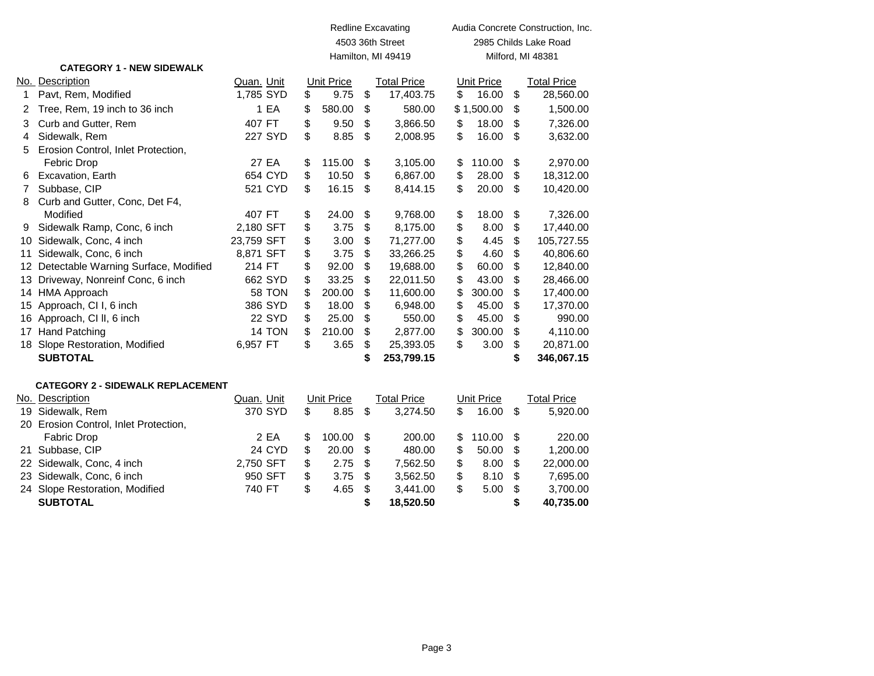|                 |                                          |            |               |                   |    | <b>Redline Excavating</b> | Audia Concrete Construction, Inc. |                   |    |                    |  |  |  |
|-----------------|------------------------------------------|------------|---------------|-------------------|----|---------------------------|-----------------------------------|-------------------|----|--------------------|--|--|--|
|                 |                                          |            |               | 4503 36th Street  |    |                           | 2985 Childs Lake Road             |                   |    |                    |  |  |  |
|                 |                                          |            |               |                   |    | Hamilton, MI 49419        |                                   |                   |    | Milford, MI 48381  |  |  |  |
|                 | <b>CATEGORY 1 - NEW SIDEWALK</b>         |            |               |                   |    |                           |                                   |                   |    |                    |  |  |  |
|                 | No. Description                          | Quan. Unit |               | Unit Price        |    | <b>Total Price</b>        |                                   | <b>Unit Price</b> |    | <b>Total Price</b> |  |  |  |
| 1               | Pavt, Rem, Modified                      | 1,785 SYD  |               | \$<br>9.75        | \$ | 17,403.75                 | \$                                | 16.00             | \$ | 28,560.00          |  |  |  |
| 2               | Tree, Rem, 19 inch to 36 inch            |            | 1 EA          | \$<br>580.00      | \$ | 580.00                    |                                   | \$1,500.00        | \$ | 1,500.00           |  |  |  |
| 3               | Curb and Gutter, Rem                     | 407 FT     |               | \$<br>9.50        | \$ | 3,866.50                  | \$                                | 18.00             | \$ | 7,326.00           |  |  |  |
| 4               | Sidewalk, Rem                            |            | 227 SYD       | \$<br>8.85        | \$ | 2,008.95                  | \$                                | 16.00             | \$ | 3,632.00           |  |  |  |
| 5               | Erosion Control, Inlet Protection,       |            |               |                   |    |                           |                                   |                   |    |                    |  |  |  |
|                 | <b>Febric Drop</b>                       |            | 27 EA         | \$<br>115.00      | \$ | 3,105.00                  | \$                                | 110.00            | \$ | 2,970.00           |  |  |  |
| 6               | Excavation, Earth                        |            | 654 CYD       | \$<br>10.50       | \$ | 6,867.00                  | \$                                | 28.00             | \$ | 18,312.00          |  |  |  |
| 7               | Subbase, CIP                             |            | 521 CYD       | \$<br>16.15       | \$ | 8,414.15                  | \$                                | 20.00             | \$ | 10,420.00          |  |  |  |
| 8               | Curb and Gutter, Conc, Det F4,           |            |               |                   |    |                           |                                   |                   |    |                    |  |  |  |
|                 | Modified                                 | 407 FT     |               | \$<br>24.00       | \$ | 9,768.00                  | \$                                | 18.00             | \$ | 7,326.00           |  |  |  |
| 9               | Sidewalk Ramp, Conc, 6 inch              | 2,180 SFT  |               | \$<br>3.75        | \$ | 8,175.00                  | \$                                | 8.00              | \$ | 17,440.00          |  |  |  |
| 10              | Sidewalk, Conc, 4 inch                   | 23,759 SFT |               | \$<br>3.00        | \$ | 71,277.00                 | \$                                | 4.45              | \$ | 105,727.55         |  |  |  |
| 11              | Sidewalk, Conc, 6 inch                   | 8,871 SFT  |               | \$<br>3.75        | \$ | 33,266.25                 | \$                                | 4.60              | \$ | 40,806.60          |  |  |  |
|                 | 12 Detectable Warning Surface, Modified  | 214 FT     |               | \$<br>92.00       | \$ | 19,688.00                 | \$                                | 60.00             | \$ | 12,840.00          |  |  |  |
| 13.             | Driveway, Nonreinf Conc, 6 inch          |            | 662 SYD       | \$<br>33.25       | \$ | 22,011.50                 | \$                                | 43.00             | \$ | 28,466.00          |  |  |  |
|                 | 14 HMA Approach                          |            | 58 TON        | \$<br>200.00      | \$ | 11,600.00                 | \$                                | 300.00            | \$ | 17,400.00          |  |  |  |
| 15              | Approach, CI I, 6 inch                   |            | 386 SYD       | \$<br>18.00       | \$ | 6,948.00                  | \$                                | 45.00             | \$ | 17,370.00          |  |  |  |
|                 | 16 Approach, CI II, 6 inch               |            | <b>22 SYD</b> | \$<br>25.00       | \$ | 550.00                    | \$                                | 45.00             | \$ | 990.00             |  |  |  |
| 17              | <b>Hand Patching</b>                     |            | 14 TON        | \$<br>210.00      | \$ | 2,877.00                  | \$                                | 300.00            | \$ | 4,110.00           |  |  |  |
|                 | 18 Slope Restoration, Modified           | 6,957 FT   |               | \$<br>3.65        | \$ | 25,393.05                 | \$                                | 3.00              | \$ | 20,871.00          |  |  |  |
|                 | <b>SUBTOTAL</b>                          |            |               |                   | \$ | 253,799.15                |                                   |                   | \$ | 346,067.15         |  |  |  |
|                 | <b>CATEGORY 2 - SIDEWALK REPLACEMENT</b> |            |               |                   |    |                           |                                   |                   |    |                    |  |  |  |
|                 | No. Description                          | Quan. Unit |               | <b>Unit Price</b> |    | <b>Total Price</b>        |                                   | <b>Unit Price</b> |    | <b>Total Price</b> |  |  |  |
|                 | 19 Sidewalk, Rem                         |            | 370 SYD       | \$<br>8.85        | \$ | 3,274.50                  | \$                                | 16.00             | \$ | 5,920.00           |  |  |  |
|                 | 20 Erosion Control, Inlet Protection,    |            |               |                   |    |                           |                                   |                   |    |                    |  |  |  |
|                 | <b>Fabric Drop</b>                       |            | 2 EA          | \$<br>100.00      | \$ | 200.00                    | \$                                | 110.00            | \$ | 220.00             |  |  |  |
| 21              | Subbase, CIP                             |            | 24 CYD        | \$<br>20.00       | \$ | 480.00                    | \$                                | 50.00             | \$ | 1,200.00           |  |  |  |
| 22 <sub>2</sub> | Sidewalk, Conc, 4 inch                   | 2,750 SFT  |               | \$<br>2.75        | \$ | 7,562.50                  | \$                                | 8.00              | \$ | 22,000.00          |  |  |  |
|                 | 23 Sidewalk, Conc, 6 inch                |            | 950 SFT       | \$<br>3.75        | \$ | 3,562.50                  | \$                                | 8.10              | \$ | 7,695.00           |  |  |  |
|                 | 24 Slope Restoration, Modified           | 740 FT     |               | \$<br>4.65        | \$ | 3,441.00                  | \$                                | 5.00              | \$ | 3,700.00           |  |  |  |
|                 | <b>SUBTOTAL</b>                          |            |               |                   | \$ | 18,520.50                 |                                   |                   | \$ | 40,735.00          |  |  |  |
|                 |                                          |            |               |                   |    |                           |                                   |                   |    |                    |  |  |  |